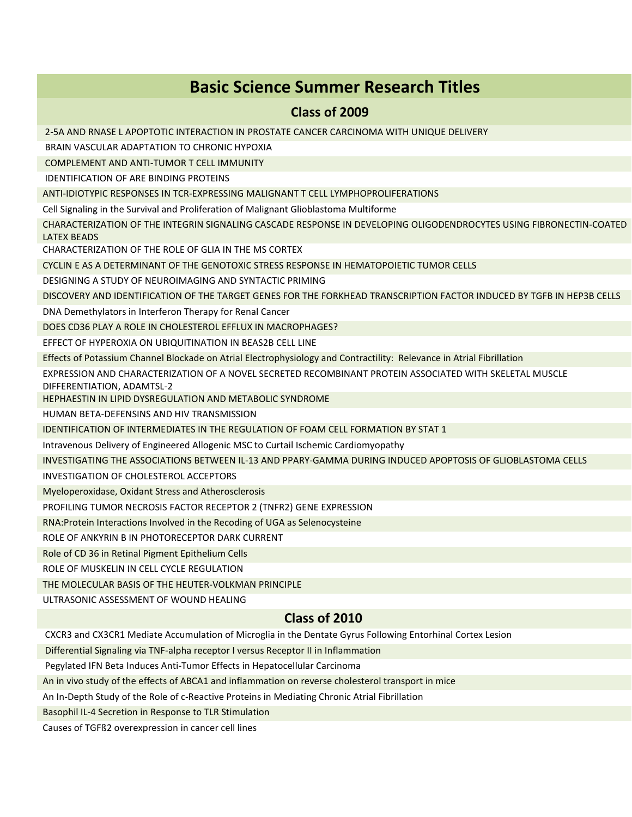## **Basic Science Summer Research Titles**

#### **Class of 2009**

2-5A AND RNASE L APOPTOTIC INTERACTION IN PROSTATE CANCER CARCINOMA WITH UNIQUE DELIVERY

BRAIN VASCULAR ADAPTATION TO CHRONIC HYPOXIA

COMPLEMENT AND ANTI-TUMOR T CELL IMMUNITY

IDENTIFICATION OF ARE BINDING PROTEINS

ANTI-IDIOTYPIC RESPONSES IN TCR-EXPRESSING MALIGNANT T CELL LYMPHOPROLIFERATIONS

Cell Signaling in the Survival and Proliferation of Malignant Glioblastoma Multiforme

CHARACTERIZATION OF THE INTEGRIN SIGNALING CASCADE RESPONSE IN DEVELOPING OLIGODENDROCYTES USING FIBRONECTIN-COATED LATEX BEADS

CHARACTERIZATION OF THE ROLE OF GLIA IN THE MS CORTEX

CYCLIN E AS A DETERMINANT OF THE GENOTOXIC STRESS RESPONSE IN HEMATOPOIETIC TUMOR CELLS

DESIGNING A STUDY OF NEUROIMAGING AND SYNTACTIC PRIMING

DISCOVERY AND IDENTIFICATION OF THE TARGET GENES FOR THE FORKHEAD TRANSCRIPTION FACTOR INDUCED BY TGFB IN HEP3B CELLS

DNA Demethylators in Interferon Therapy for Renal Cancer

DOES CD36 PLAY A ROLE IN CHOLESTEROL EFFLUX IN MACROPHAGES?

EFFECT OF HYPEROXIA ON UBIQUITINATION IN BEAS2B CELL LINE

Effects of Potassium Channel Blockade on Atrial Electrophysiology and Contractility: Relevance in Atrial Fibrillation

EXPRESSION AND CHARACTERIZATION OF A NOVEL SECRETED RECOMBINANT PROTEIN ASSOCIATED WITH SKELETAL MUSCLE DIFFERENTIATION, ADAMTSL-2

HEPHAESTIN IN LIPID DYSREGULATION AND METABOLIC SYNDROME

HUMAN BETA-DEFENSINS AND HIV TRANSMISSION

IDENTIFICATION OF INTERMEDIATES IN THE REGULATION OF FOAM CELL FORMATION BY STAT 1

Intravenous Delivery of Engineered Allogenic MSC to Curtail Ischemic Cardiomyopathy

INVESTIGATING THE ASSOCIATIONS BETWEEN IL-13 AND PPARY-GAMMA DURING INDUCED APOPTOSIS OF GLIOBLASTOMA CELLS

INVESTIGATION OF CHOLESTEROL ACCEPTORS

Myeloperoxidase, Oxidant Stress and Atherosclerosis

PROFILING TUMOR NECROSIS FACTOR RECEPTOR 2 (TNFR2) GENE EXPRESSION

RNA:Protein Interactions Involved in the Recoding of UGA as Selenocysteine

ROLE OF ANKYRIN B IN PHOTORECEPTOR DARK CURRENT

Role of CD 36 in Retinal Pigment Epithelium Cells

ROLE OF MUSKELIN IN CELL CYCLE REGULATION

THE MOLECULAR BASIS OF THE HEUTER-VOLKMAN PRINCIPLE

ULTRASONIC ASSESSMENT OF WOUND HEALING

## **Class of 2010**

CXCR3 and CX3CR1 Mediate Accumulation of Microglia in the Dentate Gyrus Following Entorhinal Cortex Lesion

Differential Signaling via TNF-alpha receptor I versus Receptor II in Inflammation

Pegylated IFN Beta Induces Anti-Tumor Effects in Hepatocellular Carcinoma

An in vivo study of the effects of ABCA1 and inflammation on reverse cholesterol transport in mice

An In-Depth Study of the Role of c-Reactive Proteins in Mediating Chronic Atrial Fibrillation

Basophil IL-4 Secretion in Response to TLR Stimulation

Causes of TGFß2 overexpression in cancer cell lines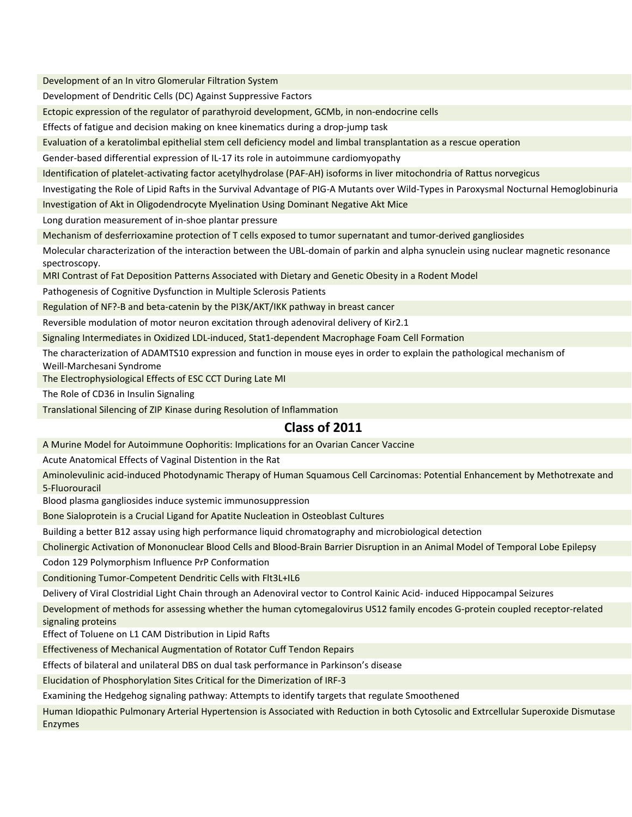Development of an In vitro Glomerular Filtration System

Development of Dendritic Cells (DC) Against Suppressive Factors

Ectopic expression of the regulator of parathyroid development, GCMb, in non-endocrine cells

Effects of fatigue and decision making on knee kinematics during a drop-jump task

Evaluation of a keratolimbal epithelial stem cell deficiency model and limbal transplantation as a rescue operation

Gender-based differential expression of IL-17 its role in autoimmune cardiomyopathy

Identification of platelet-activating factor acetylhydrolase (PAF-AH) isoforms in liver mitochondria of Rattus norvegicus

Investigating the Role of Lipid Rafts in the Survival Advantage of PIG-A Mutants over Wild-Types in Paroxysmal Nocturnal Hemoglobinuria

Investigation of Akt in Oligodendrocyte Myelination Using Dominant Negative Akt Mice

Long duration measurement of in-shoe plantar pressure

Mechanism of desferrioxamine protection of T cells exposed to tumor supernatant and tumor-derived gangliosides

Molecular characterization of the interaction between the UBL-domain of parkin and alpha synuclein using nuclear magnetic resonance spectroscopy.

MRI Contrast of Fat Deposition Patterns Associated with Dietary and Genetic Obesity in a Rodent Model

Pathogenesis of Cognitive Dysfunction in Multiple Sclerosis Patients

Regulation of NF?-B and beta-catenin by the PI3K/AKT/IKK pathway in breast cancer

Reversible modulation of motor neuron excitation through adenoviral delivery of Kir2.1

Signaling Intermediates in Oxidized LDL-induced, Stat1-dependent Macrophage Foam Cell Formation

The characterization of ADAMTS10 expression and function in mouse eyes in order to explain the pathological mechanism of Weill-Marchesani Syndrome

The Electrophysiological Effects of ESC CCT During Late MI

The Role of CD36 in Insulin Signaling

Translational Silencing of ZIP Kinase during Resolution of Inflammation

#### **Class of 2011**

A Murine Model for Autoimmune Oophoritis: Implications for an Ovarian Cancer Vaccine

Acute Anatomical Effects of Vaginal Distention in the Rat

Aminolevulinic acid-induced Photodynamic Therapy of Human Squamous Cell Carcinomas: Potential Enhancement by Methotrexate and 5-Fluorouracil

Blood plasma gangliosides induce systemic immunosuppression

Bone Sialoprotein is a Crucial Ligand for Apatite Nucleation in Osteoblast Cultures

Building a better B12 assay using high performance liquid chromatography and microbiological detection

Cholinergic Activation of Mononuclear Blood Cells and Blood-Brain Barrier Disruption in an Animal Model of Temporal Lobe Epilepsy

Codon 129 Polymorphism Influence PrP Conformation

Conditioning Tumor-Competent Dendritic Cells with Flt3L+IL6

Delivery of Viral Clostridial Light Chain through an Adenoviral vector to Control Kainic Acid- induced Hippocampal Seizures

Development of methods for assessing whether the human cytomegalovirus US12 family encodes G-protein coupled receptor-related signaling proteins

Effect of Toluene on L1 CAM Distribution in Lipid Rafts

Effectiveness of Mechanical Augmentation of Rotator Cuff Tendon Repairs

Effects of bilateral and unilateral DBS on dual task performance in Parkinson's disease

Elucidation of Phosphorylation Sites Critical for the Dimerization of IRF-3

Examining the Hedgehog signaling pathway: Attempts to identify targets that regulate Smoothened

Human Idiopathic Pulmonary Arterial Hypertension is Associated with Reduction in both Cytosolic and Extrcellular Superoxide Dismutase Enzymes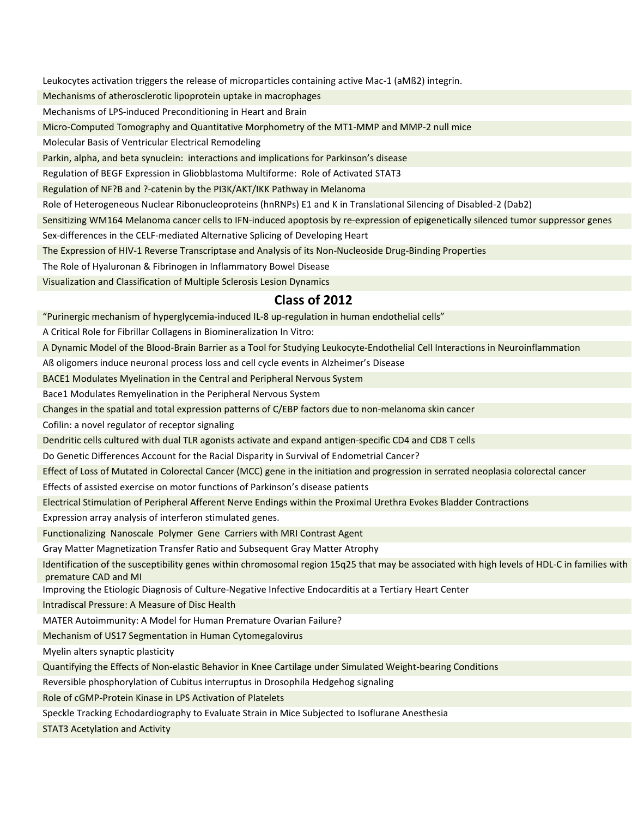Leukocytes activation triggers the release of microparticles containing active Mac-1 (aMß2) integrin.

Mechanisms of atherosclerotic lipoprotein uptake in macrophages

Mechanisms of LPS-induced Preconditioning in Heart and Brain

Micro-Computed Tomography and Quantitative Morphometry of the MT1-MMP and MMP-2 null mice

Molecular Basis of Ventricular Electrical Remodeling

Parkin, alpha, and beta synuclein: interactions and implications for Parkinson's disease

Regulation of BEGF Expression in Gliobblastoma Multiforme: Role of Activated STAT3

Regulation of NF?B and ?-catenin by the PI3K/AKT/IKK Pathway in Melanoma

Role of Heterogeneous Nuclear Ribonucleoproteins (hnRNPs) E1 and K in Translational Silencing of Disabled-2 (Dab2)

Sensitizing WM164 Melanoma cancer cells to IFN-induced apoptosis by re-expression of epigenetically silenced tumor suppressor genes

Sex-differences in the CELF-mediated Alternative Splicing of Developing Heart

The Expression of HIV-1 Reverse Transcriptase and Analysis of its Non-Nucleoside Drug-Binding Properties

The Role of Hyaluronan & Fibrinogen in Inflammatory Bowel Disease

Visualization and Classification of Multiple Sclerosis Lesion Dynamics

#### **Class of 2012**

"Purinergic mechanism of hyperglycemia-induced IL-8 up-regulation in human endothelial cells"

A Critical Role for Fibrillar Collagens in Biomineralization In Vitro:

A Dynamic Model of the Blood-Brain Barrier as a Tool for Studying Leukocyte-Endothelial Cell Interactions in Neuroinflammation

Aß oligomers induce neuronal process loss and cell cycle events in Alzheimer's Disease

BACE1 Modulates Myelination in the Central and Peripheral Nervous System

Bace1 Modulates Remyelination in the Peripheral Nervous System

Changes in the spatial and total expression patterns of C/EBP factors due to non-melanoma skin cancer

Cofilin: a novel regulator of receptor signaling

Dendritic cells cultured with dual TLR agonists activate and expand antigen-specific CD4 and CD8 T cells

Do Genetic Differences Account for the Racial Disparity in Survival of Endometrial Cancer?

Effect of Loss of Mutated in Colorectal Cancer (MCC) gene in the initiation and progression in serrated neoplasia colorectal cancer

Effects of assisted exercise on motor functions of Parkinson's disease patients

Electrical Stimulation of Peripheral Afferent Nerve Endings within the Proximal Urethra Evokes Bladder Contractions

Expression array analysis of interferon stimulated genes.

Functionalizing Nanoscale Polymer Gene Carriers with MRI Contrast Agent

Gray Matter Magnetization Transfer Ratio and Subsequent Gray Matter Atrophy

Identification of the susceptibility genes within chromosomal region 15q25 that may be associated with high levels of HDL-C in families with premature CAD and MI

Improving the Etiologic Diagnosis of Culture-Negative Infective Endocarditis at a Tertiary Heart Center

Intradiscal Pressure: A Measure of Disc Health

MATER Autoimmunity: A Model for Human Premature Ovarian Failure?

Mechanism of US17 Segmentation in Human Cytomegalovirus

Myelin alters synaptic plasticity

Quantifying the Effects of Non-elastic Behavior in Knee Cartilage under Simulated Weight-bearing Conditions

Reversible phosphorylation of Cubitus interruptus in Drosophila Hedgehog signaling

Role of cGMP-Protein Kinase in LPS Activation of Platelets

Speckle Tracking Echodardiography to Evaluate Strain in Mice Subjected to Isoflurane Anesthesia

STAT3 Acetylation and Activity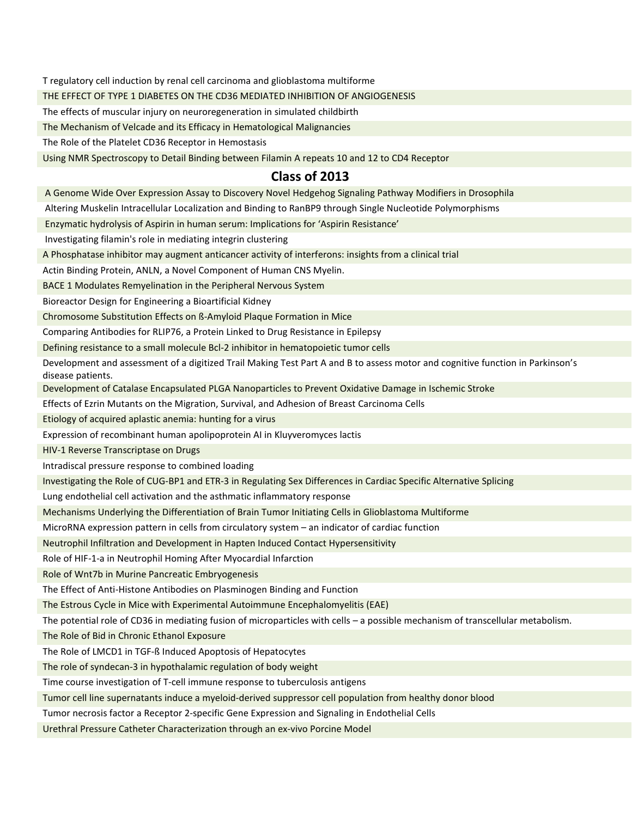T regulatory cell induction by renal cell carcinoma and glioblastoma multiforme

THE EFFECT OF TYPE 1 DIABETES ON THE CD36 MEDIATED INHIBITION OF ANGIOGENESIS

The effects of muscular injury on neuroregeneration in simulated childbirth

The Mechanism of Velcade and its Efficacy in Hematological Malignancies

The Role of the Platelet CD36 Receptor in Hemostasis

Using NMR Spectroscopy to Detail Binding between Filamin A repeats 10 and 12 to CD4 Receptor

## **Class of 2013**

A Genome Wide Over Expression Assay to Discovery Novel Hedgehog Signaling Pathway Modifiers in Drosophila

Altering Muskelin Intracellular Localization and Binding to RanBP9 through Single Nucleotide Polymorphisms

Enzymatic hydrolysis of Aspirin in human serum: Implications for 'Aspirin Resistance'

Investigating filamin's role in mediating integrin clustering

A Phosphatase inhibitor may augment anticancer activity of interferons: insights from a clinical trial

Actin Binding Protein, ANLN, a Novel Component of Human CNS Myelin.

BACE 1 Modulates Remyelination in the Peripheral Nervous System

Bioreactor Design for Engineering a Bioartificial Kidney

Chromosome Substitution Effects on ß-Amyloid Plaque Formation in Mice

Comparing Antibodies for RLIP76, a Protein Linked to Drug Resistance in Epilepsy

Defining resistance to a small molecule Bcl-2 inhibitor in hematopoietic tumor cells

Development and assessment of a digitized Trail Making Test Part A and B to assess motor and cognitive function in Parkinson's disease patients.

Development of Catalase Encapsulated PLGA Nanoparticles to Prevent Oxidative Damage in Ischemic Stroke

Effects of Ezrin Mutants on the Migration, Survival, and Adhesion of Breast Carcinoma Cells

Etiology of acquired aplastic anemia: hunting for a virus

Expression of recombinant human apolipoprotein AI in Kluyveromyces lactis

HIV-1 Reverse Transcriptase on Drugs

Intradiscal pressure response to combined loading

Investigating the Role of CUG-BP1 and ETR-3 in Regulating Sex Differences in Cardiac Specific Alternative Splicing

Lung endothelial cell activation and the asthmatic inflammatory response

Mechanisms Underlying the Differentiation of Brain Tumor Initiating Cells in Glioblastoma Multiforme

MicroRNA expression pattern in cells from circulatory system – an indicator of cardiac function

Neutrophil Infiltration and Development in Hapten Induced Contact Hypersensitivity

Role of HIF-1-a in Neutrophil Homing After Myocardial Infarction

Role of Wnt7b in Murine Pancreatic Embryogenesis

The Effect of Anti-Histone Antibodies on Plasminogen Binding and Function

The Estrous Cycle in Mice with Experimental Autoimmune Encephalomyelitis (EAE)

The potential role of CD36 in mediating fusion of microparticles with cells – a possible mechanism of transcellular metabolism.

The Role of Bid in Chronic Ethanol Exposure

The Role of LMCD1 in TGF-ß Induced Apoptosis of Hepatocytes

The role of syndecan-3 in hypothalamic regulation of body weight

Time course investigation of T-cell immune response to tuberculosis antigens

Tumor cell line supernatants induce a myeloid-derived suppressor cell population from healthy donor blood

Tumor necrosis factor a Receptor 2-specific Gene Expression and Signaling in Endothelial Cells

Urethral Pressure Catheter Characterization through an ex-vivo Porcine Model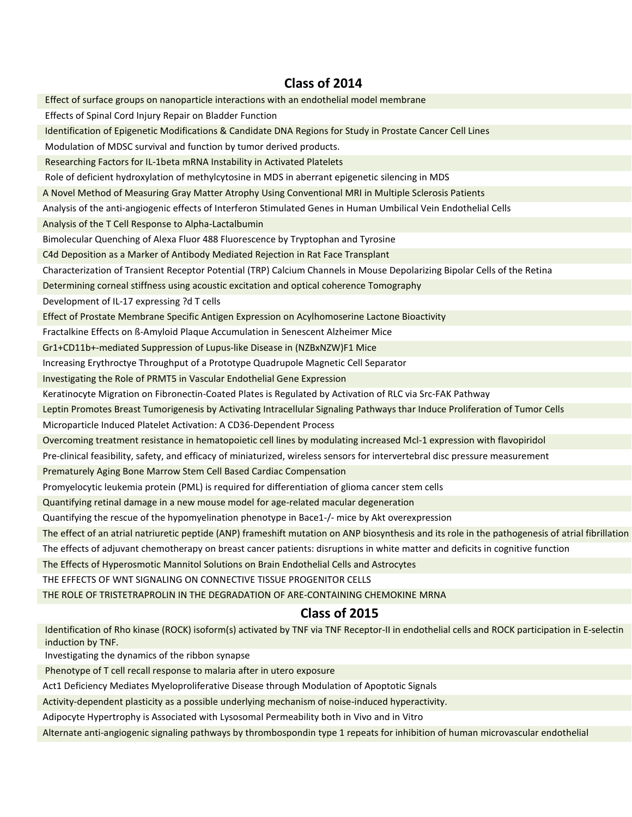## **Class of 2014**

Effect of surface groups on nanoparticle interactions with an endothelial model membrane Effects of Spinal Cord Injury Repair on Bladder Function Identification of Epigenetic Modifications & Candidate DNA Regions for Study in Prostate Cancer Cell Lines Modulation of MDSC survival and function by tumor derived products. Researching Factors for IL-1beta mRNA Instability in Activated Platelets Role of deficient hydroxylation of methylcytosine in MDS in aberrant epigenetic silencing in MDS A Novel Method of Measuring Gray Matter Atrophy Using Conventional MRI in Multiple Sclerosis Patients Analysis of the anti-angiogenic effects of Interferon Stimulated Genes in Human Umbilical Vein Endothelial Cells Analysis of the T Cell Response to Alpha-Lactalbumin Bimolecular Quenching of Alexa Fluor 488 Fluorescence by Tryptophan and Tyrosine C4d Deposition as a Marker of Antibody Mediated Rejection in Rat Face Transplant Characterization of Transient Receptor Potential (TRP) Calcium Channels in Mouse Depolarizing Bipolar Cells of the Retina Determining corneal stiffness using acoustic excitation and optical coherence Tomography Development of IL-17 expressing ?d T cells Effect of Prostate Membrane Specific Antigen Expression on Acylhomoserine Lactone Bioactivity Fractalkine Effects on ß-Amyloid Plaque Accumulation in Senescent Alzheimer Mice Gr1+CD11b+-mediated Suppression of Lupus-like Disease in (NZBxNZW)F1 Mice Increasing Erythroctye Throughput of a Prototype Quadrupole Magnetic Cell Separator Investigating the Role of PRMT5 in Vascular Endothelial Gene Expression Keratinocyte Migration on Fibronectin-Coated Plates is Regulated by Activation of RLC via Src-FAK Pathway Leptin Promotes Breast Tumorigenesis by Activating Intracellular Signaling Pathways thar Induce Proliferation of Tumor Cells Microparticle Induced Platelet Activation: A CD36-Dependent Process Overcoming treatment resistance in hematopoietic cell lines by modulating increased Mcl-1 expression with flavopiridol Pre-clinical feasibility, safety, and efficacy of miniaturized, wireless sensors for intervertebral disc pressure measurement Prematurely Aging Bone Marrow Stem Cell Based Cardiac Compensation Promyelocytic leukemia protein (PML) is required for differentiation of glioma cancer stem cells Quantifying retinal damage in a new mouse model for age-related macular degeneration Quantifying the rescue of the hypomyelination phenotype in Bace1-/- mice by Akt overexpression The effect of an atrial natriuretic peptide (ANP) frameshift mutation on ANP biosynthesis and its role in the pathogenesis of atrial fibrillation The effects of adjuvant chemotherapy on breast cancer patients: disruptions in white matter and deficits in cognitive function

The Effects of Hyperosmotic Mannitol Solutions on Brain Endothelial Cells and Astrocytes

THE EFFECTS OF WNT SIGNALING ON CONNECTIVE TISSUE PROGENITOR CELLS

THE ROLE OF TRISTETRAPROLIN IN THE DEGRADATION OF ARE-CONTAINING CHEMOKINE MRNA

#### **Class of 2015**

Identification of Rho kinase (ROCK) isoform(s) activated by TNF via TNF Receptor-II in endothelial cells and ROCK participation in E-selectin induction by TNF.

Investigating the dynamics of the ribbon synapse

Phenotype of T cell recall response to malaria after in utero exposure

Act1 Deficiency Mediates Myeloproliferative Disease through Modulation of Apoptotic Signals

Activity-dependent plasticity as a possible underlying mechanism of noise-induced hyperactivity.

Adipocyte Hypertrophy is Associated with Lysosomal Permeability both in Vivo and in Vitro

Alternate anti-angiogenic signaling pathways by thrombospondin type 1 repeats for inhibition of human microvascular endothelial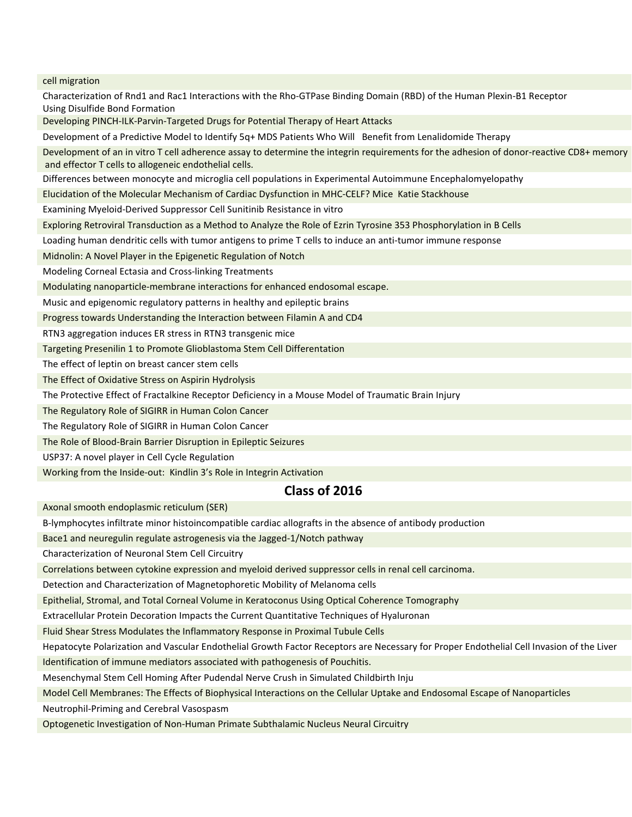cell migration

Characterization of Rnd1 and Rac1 Interactions with the Rho-GTPase Binding Domain (RBD) of the Human Plexin-B1 Receptor Using Disulfide Bond Formation Developing PINCH-ILK-Parvin-Targeted Drugs for Potential Therapy of Heart Attacks Development of a Predictive Model to Identify 5q+ MDS Patients Who Will Benefit from Lenalidomide Therapy Development of an in vitro T cell adherence assay to determine the integrin requirements for the adhesion of donor-reactive CD8+ memory and effector T cells to allogeneic endothelial cells. Differences between monocyte and microglia cell populations in Experimental Autoimmune Encephalomyelopathy Elucidation of the Molecular Mechanism of Cardiac Dysfunction in MHC-CELF? Mice Katie Stackhouse Examining Myeloid-Derived Suppressor Cell Sunitinib Resistance in vitro Exploring Retroviral Transduction as a Method to Analyze the Role of Ezrin Tyrosine 353 Phosphorylation in B Cells Loading human dendritic cells with tumor antigens to prime T cells to induce an anti-tumor immune response Midnolin: A Novel Player in the Epigenetic Regulation of Notch Modeling Corneal Ectasia and Cross-linking Treatments Modulating nanoparticle-membrane interactions for enhanced endosomal escape. Music and epigenomic regulatory patterns in healthy and epileptic brains Progress towards Understanding the Interaction between Filamin A and CD4 RTN3 aggregation induces ER stress in RTN3 transgenic mice Targeting Presenilin 1 to Promote Glioblastoma Stem Cell Differentation The effect of leptin on breast cancer stem cells The Effect of Oxidative Stress on Aspirin Hydrolysis The Protective Effect of Fractalkine Receptor Deficiency in a Mouse Model of Traumatic Brain Injury The Regulatory Role of SIGIRR in Human Colon Cancer The Regulatory Role of SIGIRR in Human Colon Cancer The Role of Blood-Brain Barrier Disruption in Epileptic Seizures USP37: A novel player in Cell Cycle Regulation Working from the Inside-out: Kindlin 3's Role in Integrin Activation  **Class of 2016**

Axonal smooth endoplasmic reticulum (SER)

B-lymphocytes infiltrate minor histoincompatible cardiac allografts in the absence of antibody production

Bace1 and neuregulin regulate astrogenesis via the Jagged-1/Notch pathway

Characterization of Neuronal Stem Cell Circuitry

Correlations between cytokine expression and myeloid derived suppressor cells in renal cell carcinoma.

Detection and Characterization of Magnetophoretic Mobility of Melanoma cells

Epithelial, Stromal, and Total Corneal Volume in Keratoconus Using Optical Coherence Tomography

Extracellular Protein Decoration Impacts the Current Quantitative Techniques of Hyaluronan

Fluid Shear Stress Modulates the Inflammatory Response in Proximal Tubule Cells

Hepatocyte Polarization and Vascular Endothelial Growth Factor Receptors are Necessary for Proper Endothelial Cell Invasion of the Liver Identification of immune mediators associated with pathogenesis of Pouchitis.

Mesenchymal Stem Cell Homing After Pudendal Nerve Crush in Simulated Childbirth Inju

Model Cell Membranes: The Effects of Biophysical Interactions on the Cellular Uptake and Endosomal Escape of Nanoparticles

Neutrophil-Priming and Cerebral Vasospasm

Optogenetic Investigation of Non-Human Primate Subthalamic Nucleus Neural Circuitry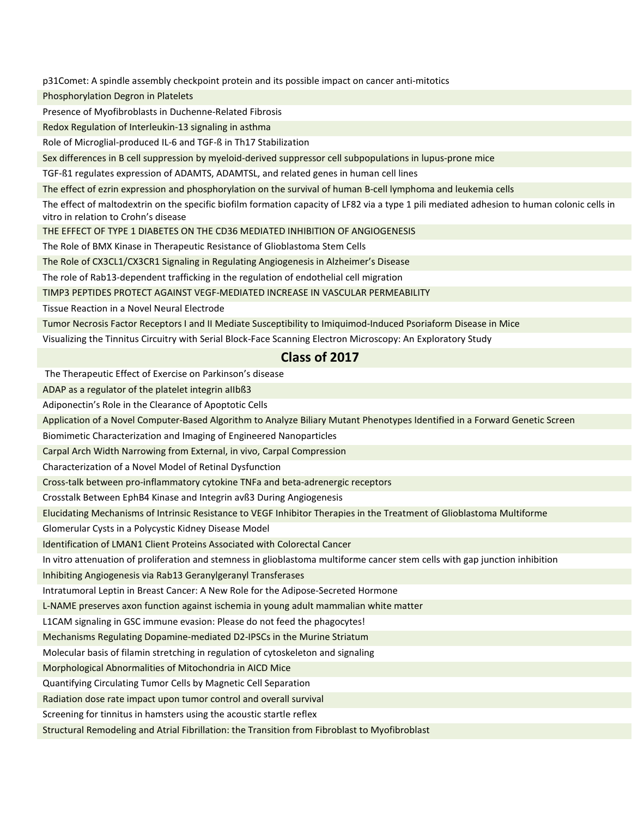p31Comet: A spindle assembly checkpoint protein and its possible impact on cancer anti-mitotics

Phosphorylation Degron in Platelets

Presence of Myofibroblasts in Duchenne-Related Fibrosis

Redox Regulation of Interleukin-13 signaling in asthma

Role of Microglial-produced IL-6 and TGF-ß in Th17 Stabilization

Sex differences in B cell suppression by myeloid-derived suppressor cell subpopulations in lupus-prone mice

TGF-ß1 regulates expression of ADAMTS, ADAMTSL, and related genes in human cell lines

The effect of ezrin expression and phosphorylation on the survival of human B-cell lymphoma and leukemia cells

The effect of maltodextrin on the specific biofilm formation capacity of LF82 via a type 1 pili mediated adhesion to human colonic cells in vitro in relation to Crohn's disease

THE EFFECT OF TYPE 1 DIABETES ON THE CD36 MEDIATED INHIBITION OF ANGIOGENESIS

The Role of BMX Kinase in Therapeutic Resistance of Glioblastoma Stem Cells

The Role of CX3CL1/CX3CR1 Signaling in Regulating Angiogenesis in Alzheimer's Disease

The role of Rab13-dependent trafficking in the regulation of endothelial cell migration

TIMP3 PEPTIDES PROTECT AGAINST VEGF-MEDIATED INCREASE IN VASCULAR PERMEABILITY

Tissue Reaction in a Novel Neural Electrode

Tumor Necrosis Factor Receptors I and II Mediate Susceptibility to Imiquimod-Induced Psoriaform Disease in Mice

Visualizing the Tinnitus Circuitry with Serial Block-Face Scanning Electron Microscopy: An Exploratory Study

## **Class of 2017**

The Therapeutic Effect of Exercise on Parkinson's disease

ADAP as a regulator of the platelet integrin aIIbß3

Adiponectin's Role in the Clearance of Apoptotic Cells

Application of a Novel Computer-Based Algorithm to Analyze Biliary Mutant Phenotypes Identified in a Forward Genetic Screen

Biomimetic Characterization and Imaging of Engineered Nanoparticles

Carpal Arch Width Narrowing from External, in vivo, Carpal Compression

Characterization of a Novel Model of Retinal Dysfunction

Cross-talk between pro-inflammatory cytokine TNFa and beta-adrenergic receptors

Crosstalk Between EphB4 Kinase and Integrin avß3 During Angiogenesis

Elucidating Mechanisms of Intrinsic Resistance to VEGF Inhibitor Therapies in the Treatment of Glioblastoma Multiforme

Glomerular Cysts in a Polycystic Kidney Disease Model

Identification of LMAN1 Client Proteins Associated with Colorectal Cancer

In vitro attenuation of proliferation and stemness in glioblastoma multiforme cancer stem cells with gap junction inhibition

Inhibiting Angiogenesis via Rab13 Geranylgeranyl Transferases

Intratumoral Leptin in Breast Cancer: A New Role for the Adipose-Secreted Hormone

L-NAME preserves axon function against ischemia in young adult mammalian white matter

L1CAM signaling in GSC immune evasion: Please do not feed the phagocytes!

Mechanisms Regulating Dopamine-mediated D2-IPSCs in the Murine Striatum

Molecular basis of filamin stretching in regulation of cytoskeleton and signaling

Morphological Abnormalities of Mitochondria in AICD Mice

Quantifying Circulating Tumor Cells by Magnetic Cell Separation

Radiation dose rate impact upon tumor control and overall survival

Screening for tinnitus in hamsters using the acoustic startle reflex

Structural Remodeling and Atrial Fibrillation: the Transition from Fibroblast to Myofibroblast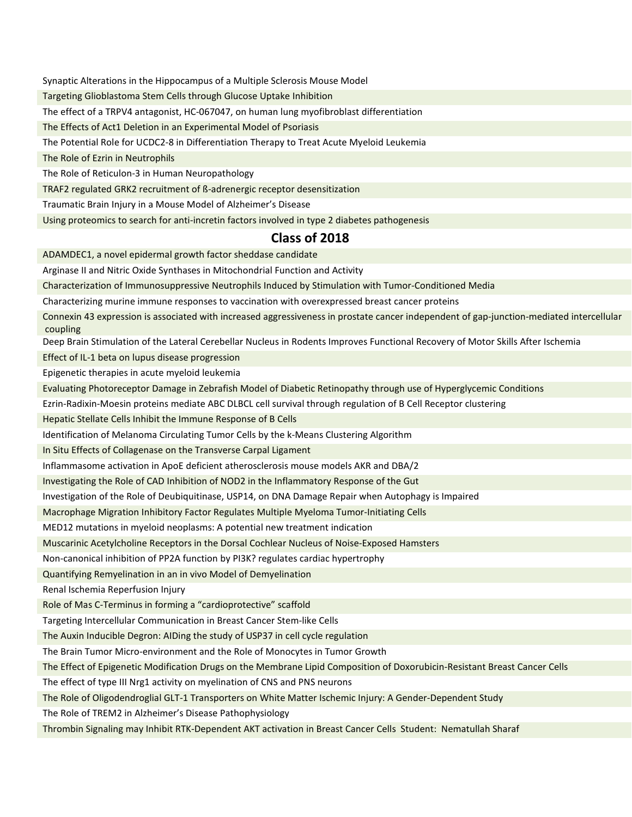Synaptic Alterations in the Hippocampus of a Multiple Sclerosis Mouse Model

Targeting Glioblastoma Stem Cells through Glucose Uptake Inhibition

The effect of a TRPV4 antagonist, HC-067047, on human lung myofibroblast differentiation

The Effects of Act1 Deletion in an Experimental Model of Psoriasis

The Potential Role for UCDC2-8 in Differentiation Therapy to Treat Acute Myeloid Leukemia

The Role of Ezrin in Neutrophils

The Role of Reticulon-3 in Human Neuropathology

TRAF2 regulated GRK2 recruitment of ß-adrenergic receptor desensitization

Traumatic Brain Injury in a Mouse Model of Alzheimer's Disease

Using proteomics to search for anti-incretin factors involved in type 2 diabetes pathogenesis

#### **Class of 2018**

ADAMDEC1, a novel epidermal growth factor sheddase candidate

Arginase II and Nitric Oxide Synthases in Mitochondrial Function and Activity

Characterization of Immunosuppressive Neutrophils Induced by Stimulation with Tumor-Conditioned Media

Characterizing murine immune responses to vaccination with overexpressed breast cancer proteins

Connexin 43 expression is associated with increased aggressiveness in prostate cancer independent of gap-junction-mediated intercellular coupling

Deep Brain Stimulation of the Lateral Cerebellar Nucleus in Rodents Improves Functional Recovery of Motor Skills After Ischemia

Effect of IL-1 beta on lupus disease progression

Epigenetic therapies in acute myeloid leukemia

Evaluating Photoreceptor Damage in Zebrafish Model of Diabetic Retinopathy through use of Hyperglycemic Conditions

Ezrin-Radixin-Moesin proteins mediate ABC DLBCL cell survival through regulation of B Cell Receptor clustering

Hepatic Stellate Cells Inhibit the Immune Response of B Cells

Identification of Melanoma Circulating Tumor Cells by the k-Means Clustering Algorithm

In Situ Effects of Collagenase on the Transverse Carpal Ligament

Inflammasome activation in ApoE deficient atherosclerosis mouse models AKR and DBA/2

Investigating the Role of CAD Inhibition of NOD2 in the Inflammatory Response of the Gut

Investigation of the Role of Deubiquitinase, USP14, on DNA Damage Repair when Autophagy is Impaired

Macrophage Migration Inhibitory Factor Regulates Multiple Myeloma Tumor-Initiating Cells

MED12 mutations in myeloid neoplasms: A potential new treatment indication

Muscarinic Acetylcholine Receptors in the Dorsal Cochlear Nucleus of Noise-Exposed Hamsters

Non-canonical inhibition of PP2A function by PI3K? regulates cardiac hypertrophy

Quantifying Remyelination in an in vivo Model of Demyelination

Renal Ischemia Reperfusion Injury

Role of Mas C-Terminus in forming a "cardioprotective" scaffold

Targeting Intercellular Communication in Breast Cancer Stem-like Cells

The Auxin Inducible Degron: AIDing the study of USP37 in cell cycle regulation

The Brain Tumor Micro-environment and the Role of Monocytes in Tumor Growth

The Effect of Epigenetic Modification Drugs on the Membrane Lipid Composition of Doxorubicin-Resistant Breast Cancer Cells

The effect of type III Nrg1 activity on myelination of CNS and PNS neurons

The Role of Oligodendroglial GLT-1 Transporters on White Matter Ischemic Injury: A Gender-Dependent Study

The Role of TREM2 in Alzheimer's Disease Pathophysiology

Thrombin Signaling may Inhibit RTK-Dependent AKT activation in Breast Cancer Cells Student: Nematullah Sharaf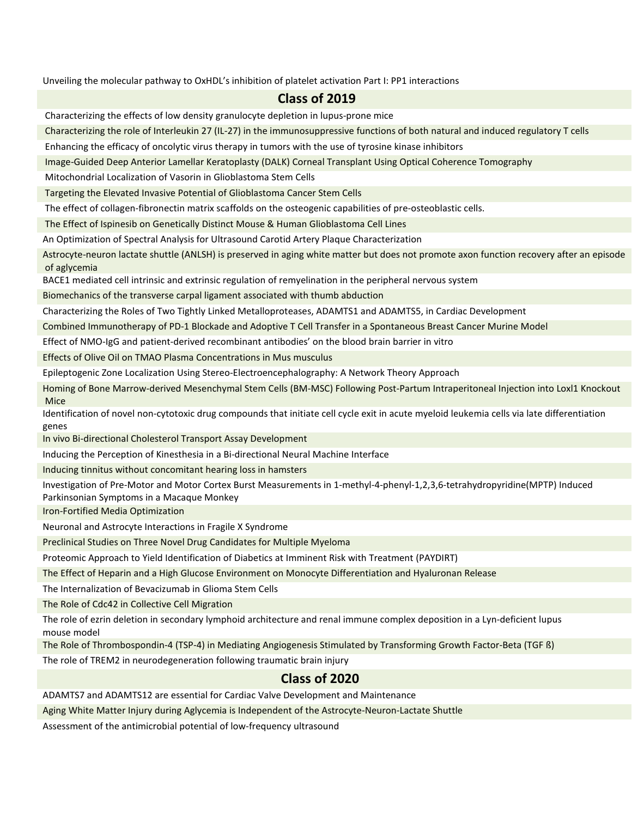Unveiling the molecular pathway to OxHDL's inhibition of platelet activation Part I: PP1 interactions

#### **Class of 2019**

Characterizing the effects of low density granulocyte depletion in lupus-prone mice

Characterizing the role of Interleukin 27 (IL-27) in the immunosuppressive functions of both natural and induced regulatory T cells

Enhancing the efficacy of oncolytic virus therapy in tumors with the use of tyrosine kinase inhibitors

Image-Guided Deep Anterior Lamellar Keratoplasty (DALK) Corneal Transplant Using Optical Coherence Tomography

Mitochondrial Localization of Vasorin in Glioblastoma Stem Cells

Targeting the Elevated Invasive Potential of Glioblastoma Cancer Stem Cells

The effect of collagen-fibronectin matrix scaffolds on the osteogenic capabilities of pre-osteoblastic cells.

The Effect of Ispinesib on Genetically Distinct Mouse & Human Glioblastoma Cell Lines

An Optimization of Spectral Analysis for Ultrasound Carotid Artery Plaque Characterization

Astrocyte-neuron lactate shuttle (ANLSH) is preserved in aging white matter but does not promote axon function recovery after an episode of aglycemia

BACE1 mediated cell intrinsic and extrinsic regulation of remyelination in the peripheral nervous system

Biomechanics of the transverse carpal ligament associated with thumb abduction

Characterizing the Roles of Two Tightly Linked Metalloproteases, ADAMTS1 and ADAMTS5, in Cardiac Development

Combined Immunotherapy of PD-1 Blockade and Adoptive T Cell Transfer in a Spontaneous Breast Cancer Murine Model

Effect of NMO-IgG and patient-derived recombinant antibodies' on the blood brain barrier in vitro

Effects of Olive Oil on TMAO Plasma Concentrations in Mus musculus

Epileptogenic Zone Localization Using Stereo-Electroencephalography: A Network Theory Approach

Homing of Bone Marrow-derived Mesenchymal Stem Cells (BM-MSC) Following Post-Partum Intraperitoneal Injection into Loxl1 Knockout Mice

Identification of novel non-cytotoxic drug compounds that initiate cell cycle exit in acute myeloid leukemia cells via late differentiation genes

In vivo Bi-directional Cholesterol Transport Assay Development

Inducing the Perception of Kinesthesia in a Bi-directional Neural Machine Interface

Inducing tinnitus without concomitant hearing loss in hamsters

Investigation of Pre-Motor and Motor Cortex Burst Measurements in 1-methyl-4-phenyl-1,2,3,6-tetrahydropyridine(MPTP) Induced Parkinsonian Symptoms in a Macaque Monkey

Iron-Fortified Media Optimization

Neuronal and Astrocyte Interactions in Fragile X Syndrome

Preclinical Studies on Three Novel Drug Candidates for Multiple Myeloma

Proteomic Approach to Yield Identification of Diabetics at Imminent Risk with Treatment (PAYDIRT)

The Effect of Heparin and a High Glucose Environment on Monocyte Differentiation and Hyaluronan Release

The Internalization of Bevacizumab in Glioma Stem Cells

The Role of Cdc42 in Collective Cell Migration

The role of ezrin deletion in secondary lymphoid architecture and renal immune complex deposition in a Lyn-deficient lupus mouse model

The Role of Thrombospondin-4 (TSP-4) in Mediating Angiogenesis Stimulated by Transforming Growth Factor-Beta (TGF ß)

The role of TREM2 in neurodegeneration following traumatic brain injury

## **Class of 2020**

ADAMTS7 and ADAMTS12 are essential for Cardiac Valve Development and Maintenance

Aging White Matter Injury during Aglycemia is Independent of the Astrocyte-Neuron-Lactate Shuttle

Assessment of the antimicrobial potential of low-frequency ultrasound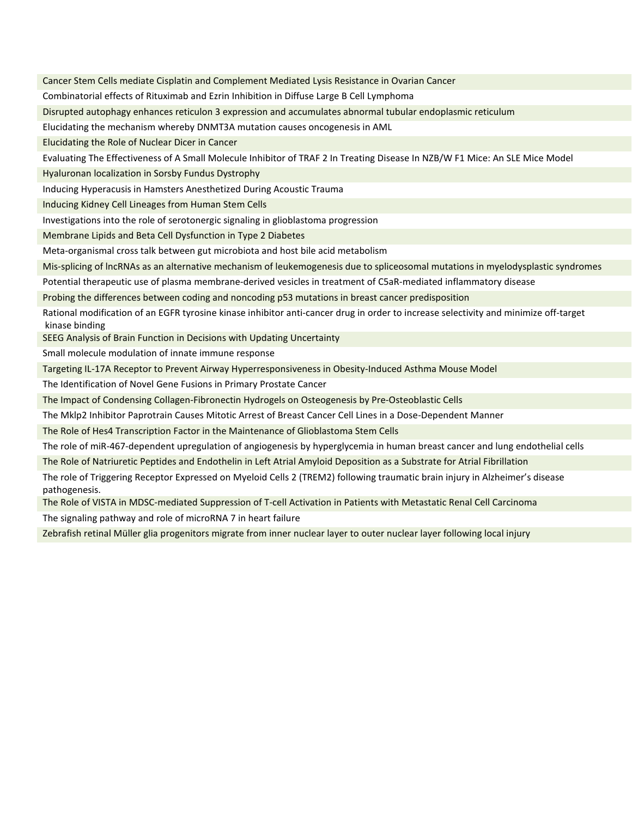Cancer Stem Cells mediate Cisplatin and Complement Mediated Lysis Resistance in Ovarian Cancer Combinatorial effects of Rituximab and Ezrin Inhibition in Diffuse Large B Cell Lymphoma Disrupted autophagy enhances reticulon 3 expression and accumulates abnormal tubular endoplasmic reticulum Elucidating the mechanism whereby DNMT3A mutation causes oncogenesis in AML Elucidating the Role of Nuclear Dicer in Cancer Evaluating The Effectiveness of A Small Molecule Inhibitor of TRAF 2 In Treating Disease In NZB/W F1 Mice: An SLE Mice Model Hyaluronan localization in Sorsby Fundus Dystrophy Inducing Hyperacusis in Hamsters Anesthetized During Acoustic Trauma Inducing Kidney Cell Lineages from Human Stem Cells Investigations into the role of serotonergic signaling in glioblastoma progression Membrane Lipids and Beta Cell Dysfunction in Type 2 Diabetes Meta-organismal cross talk between gut microbiota and host bile acid metabolism Mis-splicing of lncRNAs as an alternative mechanism of leukemogenesis due to spliceosomal mutations in myelodysplastic syndromes Potential therapeutic use of plasma membrane-derived vesicles in treatment of C5aR-mediated inflammatory disease Probing the differences between coding and noncoding p53 mutations in breast cancer predisposition Rational modification of an EGFR tyrosine kinase inhibitor anti-cancer drug in order to increase selectivity and minimize off-target kinase binding SEEG Analysis of Brain Function in Decisions with Updating Uncertainty Small molecule modulation of innate immune response Targeting IL-17A Receptor to Prevent Airway Hyperresponsiveness in Obesity-Induced Asthma Mouse Model The Identification of Novel Gene Fusions in Primary Prostate Cancer The Impact of Condensing Collagen-Fibronectin Hydrogels on Osteogenesis by Pre-Osteoblastic Cells The Mklp2 Inhibitor Paprotrain Causes Mitotic Arrest of Breast Cancer Cell Lines in a Dose-Dependent Manner The Role of Hes4 Transcription Factor in the Maintenance of Glioblastoma Stem Cells The role of miR-467-dependent upregulation of angiogenesis by hyperglycemia in human breast cancer and lung endothelial cells The Role of Natriuretic Peptides and Endothelin in Left Atrial Amyloid Deposition as a Substrate for Atrial Fibrillation The role of Triggering Receptor Expressed on Myeloid Cells 2 (TREM2) following traumatic brain injury in Alzheimer's disease

The Role of VISTA in MDSC-mediated Suppression of T-cell Activation in Patients with Metastatic Renal Cell Carcinoma

The signaling pathway and role of microRNA 7 in heart failure

pathogenesis.

Zebrafish retinal Müller glia progenitors migrate from inner nuclear layer to outer nuclear layer following local injury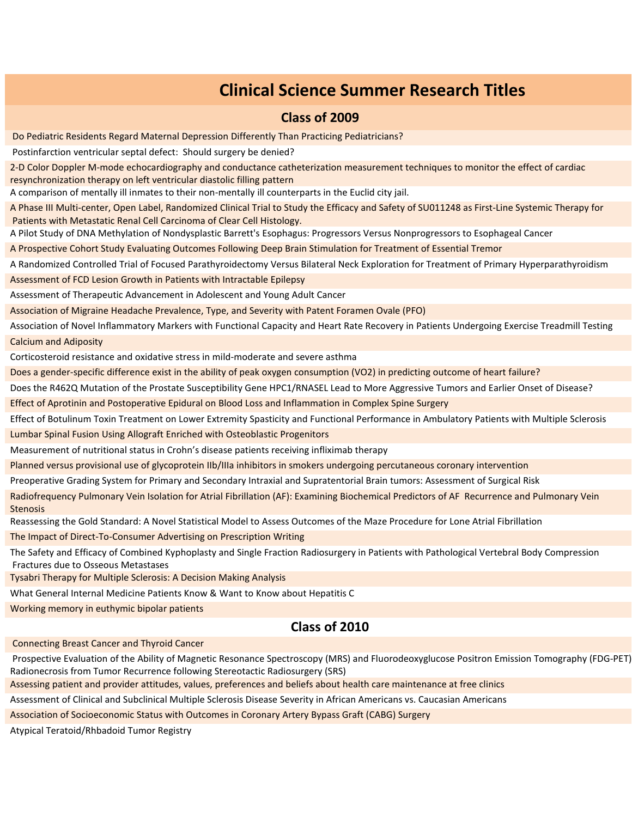# **Clinical Science Summer Research Titles**

#### **Class of 2009**

Do Pediatric Residents Regard Maternal Depression Differently Than Practicing Pediatricians?

Postinfarction ventricular septal defect: Should surgery be denied?

2-D Color Doppler M-mode echocardiography and conductance catheterization measurement techniques to monitor the effect of cardiac resynchronization therapy on left ventricular diastolic filling pattern

A comparison of mentally ill inmates to their non-mentally ill counterparts in the Euclid city jail.

A Phase III Multi-center, Open Label, Randomized Clinical Trial to Study the Efficacy and Safety of SU011248 as First-Line Systemic Therapy for Patients with Metastatic Renal Cell Carcinoma of Clear Cell Histology.

A Pilot Study of DNA Methylation of Nondysplastic Barrett's Esophagus: Progressors Versus Nonprogressors to Esophageal Cancer

A Prospective Cohort Study Evaluating Outcomes Following Deep Brain Stimulation for Treatment of Essential Tremor

A Randomized Controlled Trial of Focused Parathyroidectomy Versus Bilateral Neck Exploration for Treatment of Primary Hyperparathyroidism Assessment of FCD Lesion Growth in Patients with Intractable Epilepsy

Assessment of Therapeutic Advancement in Adolescent and Young Adult Cancer

Association of Migraine Headache Prevalence, Type, and Severity with Patent Foramen Ovale (PFO)

Association of Novel Inflammatory Markers with Functional Capacity and Heart Rate Recovery in Patients Undergoing Exercise Treadmill Testing Calcium and Adiposity

Corticosteroid resistance and oxidative stress in mild-moderate and severe asthma

Does a gender-specific difference exist in the ability of peak oxygen consumption (VO2) in predicting outcome of heart failure?

Does the R462Q Mutation of the Prostate Susceptibility Gene HPC1/RNASEL Lead to More Aggressive Tumors and Earlier Onset of Disease?

Effect of Aprotinin and Postoperative Epidural on Blood Loss and Inflammation in Complex Spine Surgery

Effect of Botulinum Toxin Treatment on Lower Extremity Spasticity and Functional Performance in Ambulatory Patients with Multiple Sclerosis Lumbar Spinal Fusion Using Allograft Enriched with Osteoblastic Progenitors

Measurement of nutritional status in Crohn's disease patients receiving infliximab therapy

Planned versus provisional use of glycoprotein IIb/IIIa inhibitors in smokers undergoing percutaneous coronary intervention

Preoperative Grading System for Primary and Secondary Intraxial and Supratentorial Brain tumors: Assessment of Surgical Risk

Radiofrequency Pulmonary Vein Isolation for Atrial Fibrillation (AF): Examining Biochemical Predictors of AF Recurrence and Pulmonary Vein Stenosis

Reassessing the Gold Standard: A Novel Statistical Model to Assess Outcomes of the Maze Procedure for Lone Atrial Fibrillation

The Impact of Direct-To-Consumer Advertising on Prescription Writing

The Safety and Efficacy of Combined Kyphoplasty and Single Fraction Radiosurgery in Patients with Pathological Vertebral Body Compression Fractures due to Osseous Metastases

Tysabri Therapy for Multiple Sclerosis: A Decision Making Analysis

What General Internal Medicine Patients Know & Want to Know about Hepatitis C

Working memory in euthymic bipolar patients

## **Class of 2010**

Connecting Breast Cancer and Thyroid Cancer

Prospective Evaluation of the Ability of Magnetic Resonance Spectroscopy (MRS) and Fluorodeoxyglucose Positron Emission Tomography (FDG-PET) Radionecrosis from Tumor Recurrence following Stereotactic Radiosurgery (SRS)

Assessing patient and provider attitudes, values, preferences and beliefs about health care maintenance at free clinics

Assessment of Clinical and Subclinical Multiple Sclerosis Disease Severity in African Americans vs. Caucasian Americans

Association of Socioeconomic Status with Outcomes in Coronary Artery Bypass Graft (CABG) Surgery

Atypical Teratoid/Rhbadoid Tumor Registry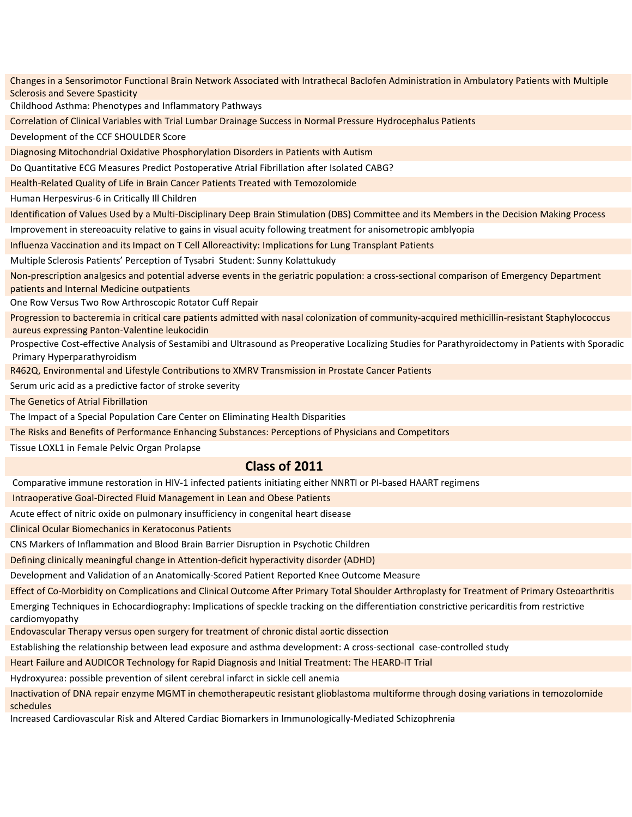Changes in a Sensorimotor Functional Brain Network Associated with Intrathecal Baclofen Administration in Ambulatory Patients with Multiple Sclerosis and Severe Spasticity Childhood Asthma: Phenotypes and Inflammatory Pathways Correlation of Clinical Variables with Trial Lumbar Drainage Success in Normal Pressure Hydrocephalus Patients Development of the CCF SHOULDER Score Diagnosing Mitochondrial Oxidative Phosphorylation Disorders in Patients with Autism Do Quantitative ECG Measures Predict Postoperative Atrial Fibrillation after Isolated CABG? Health-Related Quality of Life in Brain Cancer Patients Treated with Temozolomide Human Herpesvirus-6 in Critically Ill Children Identification of Values Used by a Multi-Disciplinary Deep Brain Stimulation (DBS) Committee and its Members in the Decision Making Process Improvement in stereoacuity relative to gains in visual acuity following treatment for anisometropic amblyopia Influenza Vaccination and its Impact on T Cell Alloreactivity: Implications for Lung Transplant Patients Multiple Sclerosis Patients' Perception of Tysabri Student: Sunny Kolattukudy Non-prescription analgesics and potential adverse events in the geriatric population: a cross-sectional comparison of Emergency Department patients and Internal Medicine outpatients One Row Versus Two Row Arthroscopic Rotator Cuff Repair Progression to bacteremia in critical care patients admitted with nasal colonization of community-acquired methicillin-resistant Staphylococcus aureus expressing Panton-Valentine leukocidin Prospective Cost-effective Analysis of Sestamibi and Ultrasound as Preoperative Localizing Studies for Parathyroidectomy in Patients with Sporadic Primary Hyperparathyroidism R462Q, Environmental and Lifestyle Contributions to XMRV Transmission in Prostate Cancer Patients Serum uric acid as a predictive factor of stroke severity The Genetics of Atrial Fibrillation

The Impact of a Special Population Care Center on Eliminating Health Disparities

The Risks and Benefits of Performance Enhancing Substances: Perceptions of Physicians and Competitors

Tissue LOXL1 in Female Pelvic Organ Prolapse

## **Class of 2011**

Comparative immune restoration in HIV-1 infected patients initiating either NNRTI or PI-based HAART regimens

Intraoperative Goal-Directed Fluid Management in Lean and Obese Patients

Acute effect of nitric oxide on pulmonary insufficiency in congenital heart disease

Clinical Ocular Biomechanics in Keratoconus Patients

CNS Markers of Inflammation and Blood Brain Barrier Disruption in Psychotic Children

Defining clinically meaningful change in Attention-deficit hyperactivity disorder (ADHD)

Development and Validation of an Anatomically-Scored Patient Reported Knee Outcome Measure

Effect of Co-Morbidity on Complications and Clinical Outcome After Primary Total Shoulder Arthroplasty for Treatment of Primary Osteoarthritis Emerging Techniques in Echocardiography: Implications of speckle tracking on the differentiation constrictive pericarditis from restrictive cardiomyopathy

Endovascular Therapy versus open surgery for treatment of chronic distal aortic dissection

Establishing the relationship between lead exposure and asthma development: A cross-sectional case-controlled study

Heart Failure and AUDICOR Technology for Rapid Diagnosis and Initial Treatment: The HEARD-IT Trial

Hydroxyurea: possible prevention of silent cerebral infarct in sickle cell anemia

Inactivation of DNA repair enzyme MGMT in chemotherapeutic resistant glioblastoma multiforme through dosing variations in temozolomide schedules

Increased Cardiovascular Risk and Altered Cardiac Biomarkers in Immunologically-Mediated Schizophrenia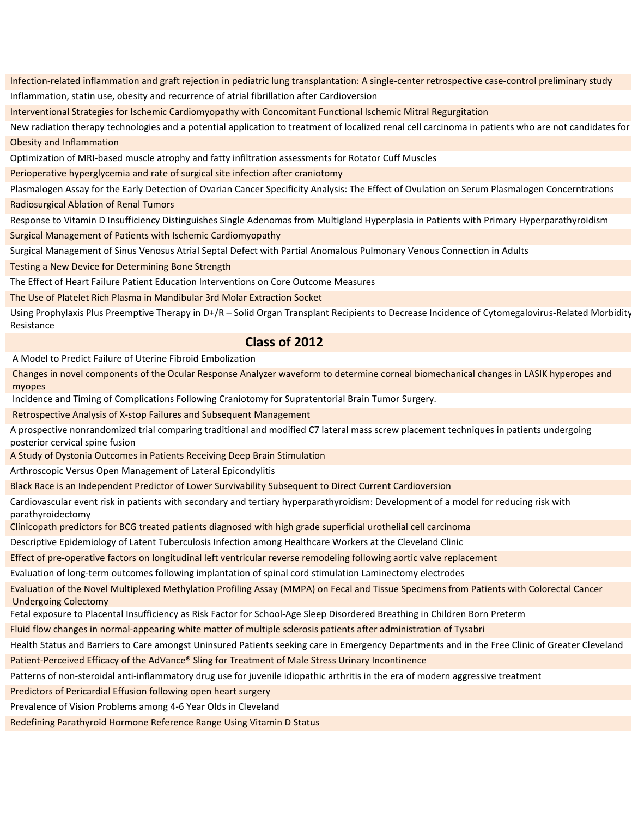Infection-related inflammation and graft rejection in pediatric lung transplantation: A single-center retrospective case-control preliminary study Inflammation, statin use, obesity and recurrence of atrial fibrillation after Cardioversion

Interventional Strategies for Ischemic Cardiomyopathy with Concomitant Functional Ischemic Mitral Regurgitation

New radiation therapy technologies and a potential application to treatment of localized renal cell carcinoma in patients who are not candidates for Obesity and Inflammation

Optimization of MRI-based muscle atrophy and fatty infiltration assessments for Rotator Cuff Muscles

Perioperative hyperglycemia and rate of surgical site infection after craniotomy

Plasmalogen Assay for the Early Detection of Ovarian Cancer Specificity Analysis: The Effect of Ovulation on Serum Plasmalogen Concerntrations Radiosurgical Ablation of Renal Tumors

Response to Vitamin D Insufficiency Distinguishes Single Adenomas from Multigland Hyperplasia in Patients with Primary Hyperparathyroidism Surgical Management of Patients with Ischemic Cardiomyopathy

Surgical Management of Sinus Venosus Atrial Septal Defect with Partial Anomalous Pulmonary Venous Connection in Adults

Testing a New Device for Determining Bone Strength

The Effect of Heart Failure Patient Education Interventions on Core Outcome Measures

The Use of Platelet Rich Plasma in Mandibular 3rd Molar Extraction Socket

Using Prophylaxis Plus Preemptive Therapy in D+/R – Solid Organ Transplant Recipients to Decrease Incidence of Cytomegalovirus-Related Morbidity Resistance

#### **Class of 2012**

A Model to Predict Failure of Uterine Fibroid Embolization

Changes in novel components of the Ocular Response Analyzer waveform to determine corneal biomechanical changes in LASIK hyperopes and myopes

Incidence and Timing of Complications Following Craniotomy for Supratentorial Brain Tumor Surgery.

Retrospective Analysis of X-stop Failures and Subsequent Management

A prospective nonrandomized trial comparing traditional and modified C7 lateral mass screw placement techniques in patients undergoing posterior cervical spine fusion

A Study of Dystonia Outcomes in Patients Receiving Deep Brain Stimulation

Arthroscopic Versus Open Management of Lateral Epicondylitis

Black Race is an Independent Predictor of Lower Survivability Subsequent to Direct Current Cardioversion

Cardiovascular event risk in patients with secondary and tertiary hyperparathyroidism: Development of a model for reducing risk with parathyroidectomy

Clinicopath predictors for BCG treated patients diagnosed with high grade superficial urothelial cell carcinoma

Descriptive Epidemiology of Latent Tuberculosis Infection among Healthcare Workers at the Cleveland Clinic

Effect of pre-operative factors on longitudinal left ventricular reverse remodeling following aortic valve replacement

Evaluation of long-term outcomes following implantation of spinal cord stimulation Laminectomy electrodes

Evaluation of the Novel Multiplexed Methylation Profiling Assay (MMPA) on Fecal and Tissue Specimens from Patients with Colorectal Cancer Undergoing Colectomy

Fetal exposure to Placental Insufficiency as Risk Factor for School-Age Sleep Disordered Breathing in Children Born Preterm

Fluid flow changes in normal-appearing white matter of multiple sclerosis patients after administration of Tysabri

Health Status and Barriers to Care amongst Uninsured Patients seeking care in Emergency Departments and in the Free Clinic of Greater Cleveland

Patient-Perceived Efficacy of the AdVance® Sling for Treatment of Male Stress Urinary Incontinence

Patterns of non-steroidal anti-inflammatory drug use for juvenile idiopathic arthritis in the era of modern aggressive treatment

Predictors of Pericardial Effusion following open heart surgery

Prevalence of Vision Problems among 4-6 Year Olds in Cleveland

Redefining Parathyroid Hormone Reference Range Using Vitamin D Status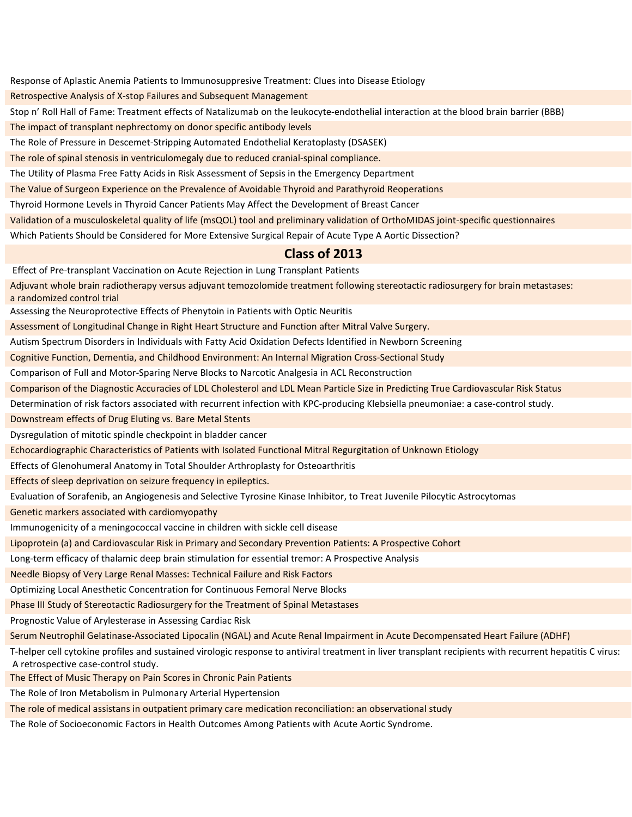Response of Aplastic Anemia Patients to Immunosuppresive Treatment: Clues into Disease Etiology

Retrospective Analysis of X-stop Failures and Subsequent Management

Stop n' Roll Hall of Fame: Treatment effects of Natalizumab on the leukocyte-endothelial interaction at the blood brain barrier (BBB)

The impact of transplant nephrectomy on donor specific antibody levels

The Role of Pressure in Descemet-Stripping Automated Endothelial Keratoplasty (DSASEK)

The role of spinal stenosis in ventriculomegaly due to reduced cranial-spinal compliance.

The Utility of Plasma Free Fatty Acids in Risk Assessment of Sepsis in the Emergency Department

The Value of Surgeon Experience on the Prevalence of Avoidable Thyroid and Parathyroid Reoperations

Thyroid Hormone Levels in Thyroid Cancer Patients May Affect the Development of Breast Cancer

Validation of a musculoskeletal quality of life (msQOL) tool and preliminary validation of OrthoMIDAS joint-specific questionnaires

Which Patients Should be Considered for More Extensive Surgical Repair of Acute Type A Aortic Dissection?

#### **Class of 2013**

Effect of Pre-transplant Vaccination on Acute Rejection in Lung Transplant Patients

Adjuvant whole brain radiotherapy versus adjuvant temozolomide treatment following stereotactic radiosurgery for brain metastases: a randomized control trial

Assessing the Neuroprotective Effects of Phenytoin in Patients with Optic Neuritis

Assessment of Longitudinal Change in Right Heart Structure and Function after Mitral Valve Surgery.

Autism Spectrum Disorders in Individuals with Fatty Acid Oxidation Defects Identified in Newborn Screening

Cognitive Function, Dementia, and Childhood Environment: An Internal Migration Cross-Sectional Study

Comparison of Full and Motor-Sparing Nerve Blocks to Narcotic Analgesia in ACL Reconstruction

Comparison of the Diagnostic Accuracies of LDL Cholesterol and LDL Mean Particle Size in Predicting True Cardiovascular Risk Status

Determination of risk factors associated with recurrent infection with KPC-producing Klebsiella pneumoniae: a case-control study.

Downstream effects of Drug Eluting vs. Bare Metal Stents

Dysregulation of mitotic spindle checkpoint in bladder cancer

Echocardiographic Characteristics of Patients with Isolated Functional Mitral Regurgitation of Unknown Etiology

Effects of Glenohumeral Anatomy in Total Shoulder Arthroplasty for Osteoarthritis

Effects of sleep deprivation on seizure frequency in epileptics.

Evaluation of Sorafenib, an Angiogenesis and Selective Tyrosine Kinase Inhibitor, to Treat Juvenile Pilocytic Astrocytomas

Genetic markers associated with cardiomyopathy

Immunogenicity of a meningococcal vaccine in children with sickle cell disease

Lipoprotein (a) and Cardiovascular Risk in Primary and Secondary Prevention Patients: A Prospective Cohort

Long-term efficacy of thalamic deep brain stimulation for essential tremor: A Prospective Analysis

Needle Biopsy of Very Large Renal Masses: Technical Failure and Risk Factors

Optimizing Local Anesthetic Concentration for Continuous Femoral Nerve Blocks

Phase III Study of Stereotactic Radiosurgery for the Treatment of Spinal Metastases

Prognostic Value of Arylesterase in Assessing Cardiac Risk

Serum Neutrophil Gelatinase-Associated Lipocalin (NGAL) and Acute Renal Impairment in Acute Decompensated Heart Failure (ADHF)

T-helper cell cytokine profiles and sustained virologic response to antiviral treatment in liver transplant recipients with recurrent hepatitis C virus: A retrospective case-control study.

The Effect of Music Therapy on Pain Scores in Chronic Pain Patients

The Role of Iron Metabolism in Pulmonary Arterial Hypertension

The role of medical assistans in outpatient primary care medication reconciliation: an observational study

The Role of Socioeconomic Factors in Health Outcomes Among Patients with Acute Aortic Syndrome.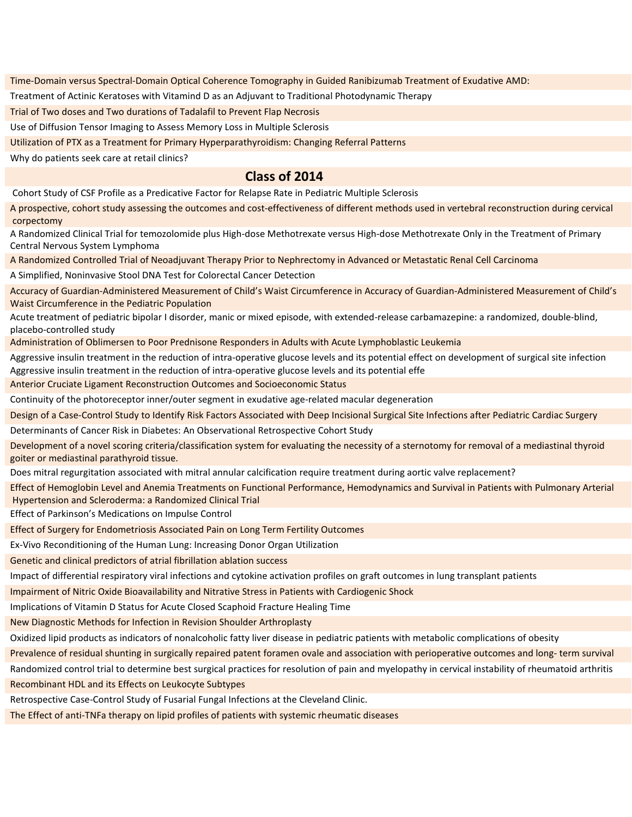Time-Domain versus Spectral-Domain Optical Coherence Tomography in Guided Ranibizumab Treatment of Exudative AMD:

Treatment of Actinic Keratoses with Vitamind D as an Adjuvant to Traditional Photodynamic Therapy

Trial of Two doses and Two durations of Tadalafil to Prevent Flap Necrosis

Use of Diffusion Tensor Imaging to Assess Memory Loss in Multiple Sclerosis

Utilization of PTX as a Treatment for Primary Hyperparathyroidism: Changing Referral Patterns

Why do patients seek care at retail clinics?

#### **Class of 2014**

Cohort Study of CSF Profile as a Predicative Factor for Relapse Rate in Pediatric Multiple Sclerosis

A prospective, cohort study assessing the outcomes and cost-effectiveness of different methods used in vertebral reconstruction during cervical corpectomy

A Randomized Clinical Trial for temozolomide plus High-dose Methotrexate versus High-dose Methotrexate Only in the Treatment of Primary Central Nervous System Lymphoma

A Randomized Controlled Trial of Neoadjuvant Therapy Prior to Nephrectomy in Advanced or Metastatic Renal Cell Carcinoma

A Simplified, Noninvasive Stool DNA Test for Colorectal Cancer Detection

Accuracy of Guardian-Administered Measurement of Child's Waist Circumference in Accuracy of Guardian-Administered Measurement of Child's Waist Circumference in the Pediatric Population

Acute treatment of pediatric bipolar I disorder, manic or mixed episode, with extended-release carbamazepine: a randomized, double-blind, placebo-controlled study

Administration of Oblimersen to Poor Prednisone Responders in Adults with Acute Lymphoblastic Leukemia

Aggressive insulin treatment in the reduction of intra-operative glucose levels and its potential effect on development of surgical site infection Aggressive insulin treatment in the reduction of intra-operative glucose levels and its potential effe

Anterior Cruciate Ligament Reconstruction Outcomes and Socioeconomic Status

Continuity of the photoreceptor inner/outer segment in exudative age-related macular degeneration

Design of a Case-Control Study to Identify Risk Factors Associated with Deep Incisional Surgical Site Infections after Pediatric Cardiac Surgery

Determinants of Cancer Risk in Diabetes: An Observational Retrospective Cohort Study

Development of a novel scoring criteria/classification system for evaluating the necessity of a sternotomy for removal of a mediastinal thyroid goiter or mediastinal parathyroid tissue.

Does mitral regurgitation associated with mitral annular calcification require treatment during aortic valve replacement?

Effect of Hemoglobin Level and Anemia Treatments on Functional Performance, Hemodynamics and Survival in Patients with Pulmonary Arterial Hypertension and Scleroderma: a Randomized Clinical Trial

Effect of Parkinson's Medications on Impulse Control

Effect of Surgery for Endometriosis Associated Pain on Long Term Fertility Outcomes

Ex-Vivo Reconditioning of the Human Lung: Increasing Donor Organ Utilization

Genetic and clinical predictors of atrial fibrillation ablation success

Impact of differential respiratory viral infections and cytokine activation profiles on graft outcomes in lung transplant patients

Impairment of Nitric Oxide Bioavailability and Nitrative Stress in Patients with Cardiogenic Shock

Implications of Vitamin D Status for Acute Closed Scaphoid Fracture Healing Time

New Diagnostic Methods for Infection in Revision Shoulder Arthroplasty

Oxidized lipid products as indicators of nonalcoholic fatty liver disease in pediatric patients with metabolic complications of obesity

Prevalence of residual shunting in surgically repaired patent foramen ovale and association with perioperative outcomes and long- term survival

Randomized control trial to determine best surgical practices for resolution of pain and myelopathy in cervical instability of rheumatoid arthritis Recombinant HDL and its Effects on Leukocyte Subtypes

Retrospective Case-Control Study of Fusarial Fungal Infections at the Cleveland Clinic.

The Effect of anti-TNFa therapy on lipid profiles of patients with systemic rheumatic diseases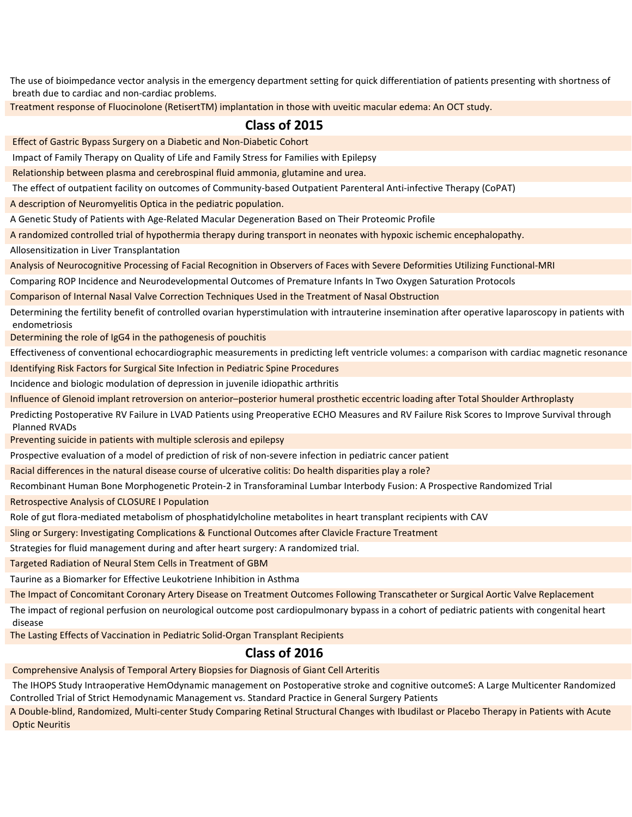The use of bioimpedance vector analysis in the emergency department setting for quick differentiation of patients presenting with shortness of breath due to cardiac and non-cardiac problems.

Treatment response of Fluocinolone (RetisertTM) implantation in those with uveitic macular edema: An OCT study.

#### **Class of 2015**

Effect of Gastric Bypass Surgery on a Diabetic and Non-Diabetic Cohort

Impact of Family Therapy on Quality of Life and Family Stress for Families with Epilepsy

Relationship between plasma and cerebrospinal fluid ammonia, glutamine and urea.

The effect of outpatient facility on outcomes of Community-based Outpatient Parenteral Anti-infective Therapy (CoPAT)

A description of Neuromyelitis Optica in the pediatric population.

A Genetic Study of Patients with Age-Related Macular Degeneration Based on Their Proteomic Profile

A randomized controlled trial of hypothermia therapy during transport in neonates with hypoxic ischemic encephalopathy.

Allosensitization in Liver Transplantation

Analysis of Neurocognitive Processing of Facial Recognition in Observers of Faces with Severe Deformities Utilizing Functional-MRI

Comparing ROP Incidence and Neurodevelopmental Outcomes of Premature Infants In Two Oxygen Saturation Protocols

Comparison of Internal Nasal Valve Correction Techniques Used in the Treatment of Nasal Obstruction

Determining the fertility benefit of controlled ovarian hyperstimulation with intrauterine insemination after operative laparoscopy in patients with endometriosis

Determining the role of IgG4 in the pathogenesis of pouchitis

Effectiveness of conventional echocardiographic measurements in predicting left ventricle volumes: a comparison with cardiac magnetic resonance Identifying Risk Factors for Surgical Site Infection in Pediatric Spine Procedures

Incidence and biologic modulation of depression in juvenile idiopathic arthritis

Influence of Glenoid implant retroversion on anterior–posterior humeral prosthetic eccentric loading after Total Shoulder Arthroplasty

Predicting Postoperative RV Failure in LVAD Patients using Preoperative ECHO Measures and RV Failure Risk Scores to Improve Survival through Planned RVADs

Preventing suicide in patients with multiple sclerosis and epilepsy

Prospective evaluation of a model of prediction of risk of non-severe infection in pediatric cancer patient

Racial differences in the natural disease course of ulcerative colitis: Do health disparities play a role?

Recombinant Human Bone Morphogenetic Protein-2 in Transforaminal Lumbar Interbody Fusion: A Prospective Randomized Trial

Retrospective Analysis of CLOSURE I Population

Role of gut flora-mediated metabolism of phosphatidylcholine metabolites in heart transplant recipients with CAV

Sling or Surgery: Investigating Complications & Functional Outcomes after Clavicle Fracture Treatment

Strategies for fluid management during and after heart surgery: A randomized trial.

Targeted Radiation of Neural Stem Cells in Treatment of GBM

Taurine as a Biomarker for Effective Leukotriene Inhibition in Asthma

The Impact of Concomitant Coronary Artery Disease on Treatment Outcomes Following Transcatheter or Surgical Aortic Valve Replacement

The impact of regional perfusion on neurological outcome post cardiopulmonary bypass in a cohort of pediatric patients with congenital heart disease

The Lasting Effects of Vaccination in Pediatric Solid-Organ Transplant Recipients

## **Class of 2016**

Comprehensive Analysis of Temporal Artery Biopsies for Diagnosis of Giant Cell Arteritis

The IHOPS Study Intraoperative HemOdynamic management on Postoperative stroke and cognitive outcomeS: A Large Multicenter Randomized Controlled Trial of Strict Hemodynamic Management vs. Standard Practice in General Surgery Patients

A Double-blind, Randomized, Multi-center Study Comparing Retinal Structural Changes with Ibudilast or Placebo Therapy in Patients with Acute Optic Neuritis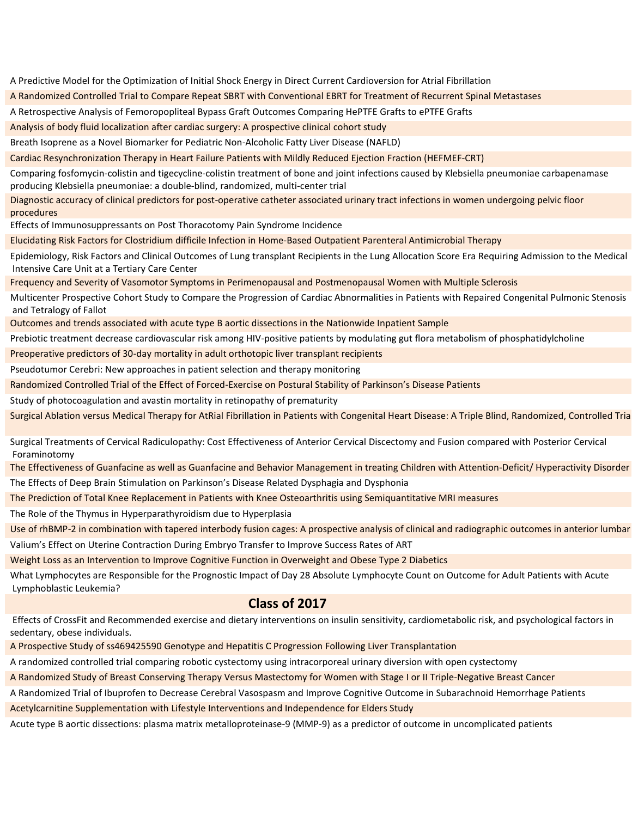A Predictive Model for the Optimization of Initial Shock Energy in Direct Current Cardioversion for Atrial Fibrillation A Randomized Controlled Trial to Compare Repeat SBRT with Conventional EBRT for Treatment of Recurrent Spinal Metastases A Retrospective Analysis of Femoropopliteal Bypass Graft Outcomes Comparing HePTFE Grafts to ePTFE Grafts Analysis of body fluid localization after cardiac surgery: A prospective clinical cohort study Breath Isoprene as a Novel Biomarker for Pediatric Non-Alcoholic Fatty Liver Disease (NAFLD) Cardiac Resynchronization Therapy in Heart Failure Patients with Mildly Reduced Ejection Fraction (HEFMEF-CRT) Comparing fosfomycin-colistin and tigecycline-colistin treatment of bone and joint infections caused by Klebsiella pneumoniae carbapenamase producing Klebsiella pneumoniae: a double-blind, randomized, multi-center trial Diagnostic accuracy of clinical predictors for post-operative catheter associated urinary tract infections in women undergoing pelvic floor procedures Effects of Immunosuppressants on Post Thoracotomy Pain Syndrome Incidence Elucidating Risk Factors for Clostridium difficile Infection in Home-Based Outpatient Parenteral Antimicrobial Therapy Epidemiology, Risk Factors and Clinical Outcomes of Lung transplant Recipients in the Lung Allocation Score Era Requiring Admission to the Medical Intensive Care Unit at a Tertiary Care Center Frequency and Severity of Vasomotor Symptoms in Perimenopausal and Postmenopausal Women with Multiple Sclerosis Multicenter Prospective Cohort Study to Compare the Progression of Cardiac Abnormalities in Patients with Repaired Congenital Pulmonic Stenosis and Tetralogy of Fallot Outcomes and trends associated with acute type B aortic dissections in the Nationwide Inpatient Sample Prebiotic treatment decrease cardiovascular risk among HIV-positive patients by modulating gut flora metabolism of phosphatidylcholine Preoperative predictors of 30-day mortality in adult orthotopic liver transplant recipients Pseudotumor Cerebri: New approaches in patient selection and therapy monitoring Randomized Controlled Trial of the Effect of Forced-Exercise on Postural Stability of Parkinson's Disease Patients Study of photocoagulation and avastin mortality in retinopathy of prematurity Surgical Ablation versus Medical Therapy for AtRial Fibrillation in Patients with Congenital Heart Disease: A Triple Blind, Randomized, Controlled Tria Surgical Treatments of Cervical Radiculopathy: Cost Effectiveness of Anterior Cervical Discectomy and Fusion compared with Posterior Cervical

The Effectiveness of Guanfacine as well as Guanfacine and Behavior Management in treating Children with Attention-Deficit/ Hyperactivity Disorder The Effects of Deep Brain Stimulation on Parkinson's Disease Related Dysphagia and Dysphonia

The Prediction of Total Knee Replacement in Patients with Knee Osteoarthritis using Semiquantitative MRI measures

The Role of the Thymus in Hyperparathyroidism due to Hyperplasia

Foraminotomy

Use of rhBMP-2 in combination with tapered interbody fusion cages: A prospective analysis of clinical and radiographic outcomes in anterior lumbar Valium's Effect on Uterine Contraction During Embryo Transfer to Improve Success Rates of ART

Weight Loss as an Intervention to Improve Cognitive Function in Overweight and Obese Type 2 Diabetics

What Lymphocytes are Responsible for the Prognostic Impact of Day 28 Absolute Lymphocyte Count on Outcome for Adult Patients with Acute Lymphoblastic Leukemia?

#### **Class of 2017**

Effects of CrossFit and Recommended exercise and dietary interventions on insulin sensitivity, cardiometabolic risk, and psychological factors in sedentary, obese individuals.

A Prospective Study of ss469425590 Genotype and Hepatitis C Progression Following Liver Transplantation

A randomized controlled trial comparing robotic cystectomy using intracorporeal urinary diversion with open cystectomy

A Randomized Study of Breast Conserving Therapy Versus Mastectomy for Women with Stage I or II Triple-Negative Breast Cancer

A Randomized Trial of Ibuprofen to Decrease Cerebral Vasospasm and Improve Cognitive Outcome in Subarachnoid Hemorrhage Patients Acetylcarnitine Supplementation with Lifestyle Interventions and Independence for Elders Study

Acute type B aortic dissections: plasma matrix metalloproteinase-9 (MMP-9) as a predictor of outcome in uncomplicated patients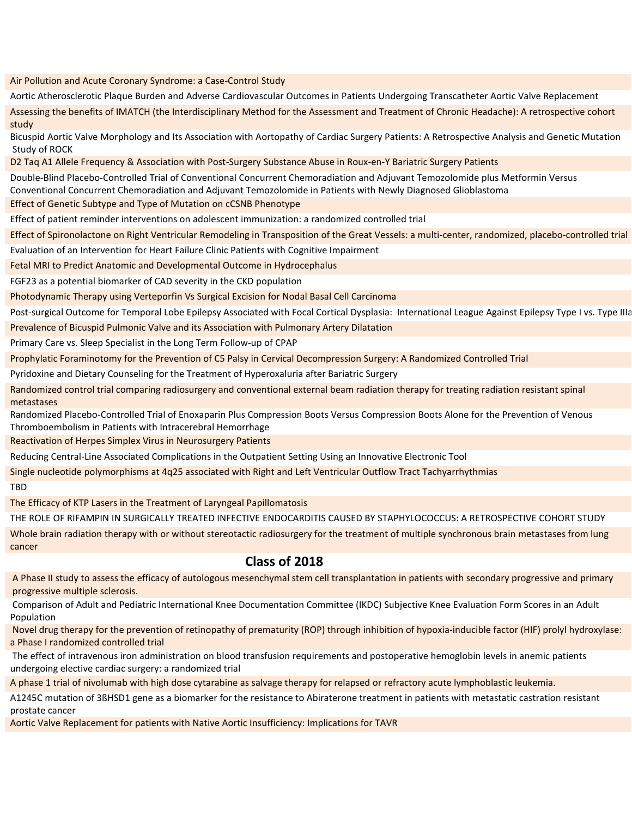Air Pollution and Acute Coronary Syndrome: a Case-Control Study

Aortic Atherosclerotic Plaque Burden and Adverse Cardiovascular Outcomes in Patients Undergoing Transcatheter Aortic Valve Replacement

Assessing the benefits of IMATCH (the Interdisciplinary Method for the Assessment and Treatment of Chronic Headache): A retrospective cohort study

Bicuspid Aortic Valve Morphology and Its Association with Aortopathy of Cardiac Surgery Patients: A Retrospective Analysis and Genetic Mutation Study of ROCK

D2 Taq A1 Allele Frequency & Association with Post-Surgery Substance Abuse in Roux-en-Y Bariatric Surgery Patients

Double-Blind Placebo-Controlled Trial of Conventional Concurrent Chemoradiation and Adjuvant Temozolomide plus Metformin Versus

Conventional Concurrent Chemoradiation and Adjuvant Temozolomide in Patients with Newly Diagnosed Glioblastoma

Effect of Genetic Subtype and Type of Mutation on cCSNB Phenotype

Effect of patient reminder interventions on adolescent immunization: a randomized controlled trial

Effect of Spironolactone on Right Ventricular Remodeling in Transposition of the Great Vessels: a multi-center, randomized, placebo-controlled trial

Evaluation of an Intervention for Heart Failure Clinic Patients with Cognitive Impairment

Fetal MRI to Predict Anatomic and Developmental Outcome in Hydrocephalus

FGF23 as a potential biomarker of CAD severity in the CKD population

Photodynamic Therapy using Verteporfin Vs Surgical Excision for Nodal Basal Cell Carcinoma

Post-surgical Outcome for Temporal Lobe Epilepsy Associated with Focal Cortical Dysplasia: International League Against Epilepsy Type I vs. Type IIIa

Prevalence of Bicuspid Pulmonic Valve and its Association with Pulmonary Artery Dilatation

Primary Care vs. Sleep Specialist in the Long Term Follow-up of CPAP

Prophylatic Foraminotomy for the Prevention of C5 Palsy in Cervical Decompression Surgery: A Randomized Controlled Trial

Pyridoxine and Dietary Counseling for the Treatment of Hyperoxaluria after Bariatric Surgery

Randomized control trial comparing radiosurgery and conventional external beam radiation therapy for treating radiation resistant spinal metastases

Randomized Placebo-Controlled Trial of Enoxaparin Plus Compression Boots Versus Compression Boots Alone for the Prevention of Venous Thromboembolism in Patients with Intracerebral Hemorrhage

Reactivation of Herpes Simplex Virus in Neurosurgery Patients

Reducing Central-Line Associated Complications in the Outpatient Setting Using an Innovative Electronic Tool

Single nucleotide polymorphisms at 4q25 associated with Right and Left Ventricular Outflow Tract Tachyarrhythmias

TBD

The Efficacy of KTP Lasers in the Treatment of Laryngeal Papillomatosis

THE ROLE OF RIFAMPIN IN SURGICALLY TREATED INFECTIVE ENDOCARDITIS CAUSED BY STAPHYLOCOCCUS: A RETROSPECTIVE COHORT STUDY

Whole brain radiation therapy with or without stereotactic radiosurgery for the treatment of multiple synchronous brain metastases from lung cancer

## **Class of 2018**

A Phase II study to assess the efficacy of autologous mesenchymal stem cell transplantation in patients with secondary progressive and primary progressive multiple sclerosis.

Comparison of Adult and Pediatric International Knee Documentation Committee (IKDC) Subjective Knee Evaluation Form Scores in an Adult Population

Novel drug therapy for the prevention of retinopathy of prematurity (ROP) through inhibition of hypoxia-inducible factor (HIF) prolyl hydroxylase: a Phase I randomized controlled trial

The effect of intravenous iron administration on blood transfusion requirements and postoperative hemoglobin levels in anemic patients undergoing elective cardiac surgery: a randomized trial

A phase 1 trial of nivolumab with high dose cytarabine as salvage therapy for relapsed or refractory acute lymphoblastic leukemia.

A1245C mutation of 3ßHSD1 gene as a biomarker for the resistance to Abiraterone treatment in patients with metastatic castration resistant prostate cancer

Aortic Valve Replacement for patients with Native Aortic Insufficiency: Implications for TAVR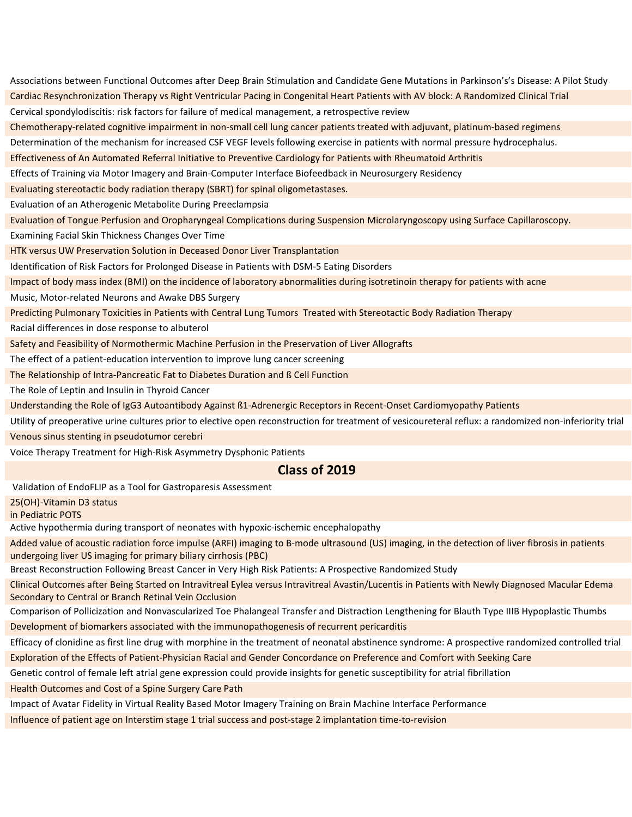Associations between Functional Outcomes after Deep Brain Stimulation and Candidate Gene Mutations in Parkinson's's Disease: A Pilot Study Cardiac Resynchronization Therapy vs Right Ventricular Pacing in Congenital Heart Patients with AV block: A Randomized Clinical Trial Cervical spondylodiscitis: risk factors for failure of medical management, a retrospective review Chemotherapy-related cognitive impairment in non-small cell lung cancer patients treated with adjuvant, platinum-based regimens Determination of the mechanism for increased CSF VEGF levels following exercise in patients with normal pressure hydrocephalus. Effectiveness of An Automated Referral Initiative to Preventive Cardiology for Patients with Rheumatoid Arthritis Effects of Training via Motor Imagery and Brain-Computer Interface Biofeedback in Neurosurgery Residency Evaluating stereotactic body radiation therapy (SBRT) for spinal oligometastases. Evaluation of an Atherogenic Metabolite During Preeclampsia Evaluation of Tongue Perfusion and Oropharyngeal Complications during Suspension Microlaryngoscopy using Surface Capillaroscopy. Examining Facial Skin Thickness Changes Over Time HTK versus UW Preservation Solution in Deceased Donor Liver Transplantation Identification of Risk Factors for Prolonged Disease in Patients with DSM-5 Eating Disorders Impact of body mass index (BMI) on the incidence of laboratory abnormalities during isotretinoin therapy for patients with acne Music, Motor-related Neurons and Awake DBS Surgery Predicting Pulmonary Toxicities in Patients with Central Lung Tumors Treated with Stereotactic Body Radiation Therapy Racial differences in dose response to albuterol Safety and Feasibility of Normothermic Machine Perfusion in the Preservation of Liver Allografts The effect of a patient-education intervention to improve lung cancer screening The Relationship of Intra-Pancreatic Fat to Diabetes Duration and ß Cell Function The Role of Leptin and Insulin in Thyroid Cancer

Understanding the Role of IgG3 Autoantibody Against ß1-Adrenergic Receptors in Recent-Onset Cardiomyopathy Patients

Utility of preoperative urine cultures prior to elective open reconstruction for treatment of vesicoureteral reflux: a randomized non-inferiority trial

Venous sinus stenting in pseudotumor cerebri

Voice Therapy Treatment for High-Risk Asymmetry Dysphonic Patients

#### **Class of 2019**

Validation of EndoFLIP as a Tool for Gastroparesis Assessment

25(OH)-Vitamin D3 status

in Pediatric POTS

Active hypothermia during transport of neonates with hypoxic-ischemic encephalopathy

Added value of acoustic radiation force impulse (ARFI) imaging to B-mode ultrasound (US) imaging, in the detection of liver fibrosis in patients undergoing liver US imaging for primary biliary cirrhosis (PBC)

Breast Reconstruction Following Breast Cancer in Very High Risk Patients: A Prospective Randomized Study

Clinical Outcomes after Being Started on Intravitreal Eylea versus Intravitreal Avastin/Lucentis in Patients with Newly Diagnosed Macular Edema Secondary to Central or Branch Retinal Vein Occlusion

Comparison of Pollicization and Nonvascularized Toe Phalangeal Transfer and Distraction Lengthening for Blauth Type IIIB Hypoplastic Thumbs Development of biomarkers associated with the immunopathogenesis of recurrent pericarditis

Efficacy of clonidine as first line drug with morphine in the treatment of neonatal abstinence syndrome: A prospective randomized controlled trial Exploration of the Effects of Patient-Physician Racial and Gender Concordance on Preference and Comfort with Seeking Care

Genetic control of female left atrial gene expression could provide insights for genetic susceptibility for atrial fibrillation

Health Outcomes and Cost of a Spine Surgery Care Path

Impact of Avatar Fidelity in Virtual Reality Based Motor Imagery Training on Brain Machine Interface Performance

Influence of patient age on Interstim stage 1 trial success and post-stage 2 implantation time-to-revision